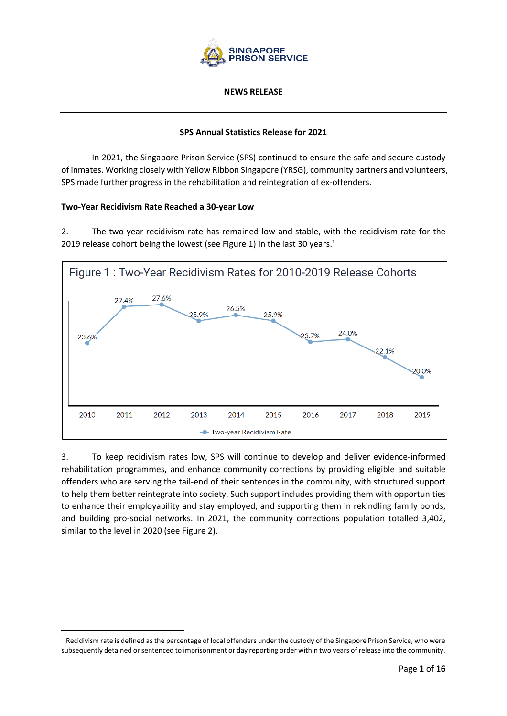

#### **NEWS RELEASE**

### **SPS Annual Statistics Release for 2021**

In 2021, the Singapore Prison Service (SPS) continued to ensure the safe and secure custody of inmates. Working closely with Yellow Ribbon Singapore (YRSG), community partners and volunteers, SPS made further progress in the rehabilitation and reintegration of ex-offenders.

### **Two-Year Recidivism Rate Reached a 30-year Low**

2. The two-year recidivism rate has remained low and stable, with the recidivism rate for the 2019 release cohort being the lowest (see Figure 1) in the last 30 years.<sup>1</sup>



3. To keep recidivism rates low, SPS will continue to develop and deliver evidence-informed rehabilitation programmes, and enhance community corrections by providing eligible and suitable offenders who are serving the tail-end of their sentences in the community, with structured support to help them better reintegrate into society. Such support includes providing them with opportunities to enhance their employability and stay employed, and supporting them in rekindling family bonds, and building pro-social networks. In 2021, the community corrections population totalled 3,402, similar to the level in 2020 (see Figure 2).

 $1$  Recidivism rate is defined as the percentage of local offenders under the custody of the Singapore Prison Service, who were subsequently detained or sentenced to imprisonment or day reporting order within two years of release into the community.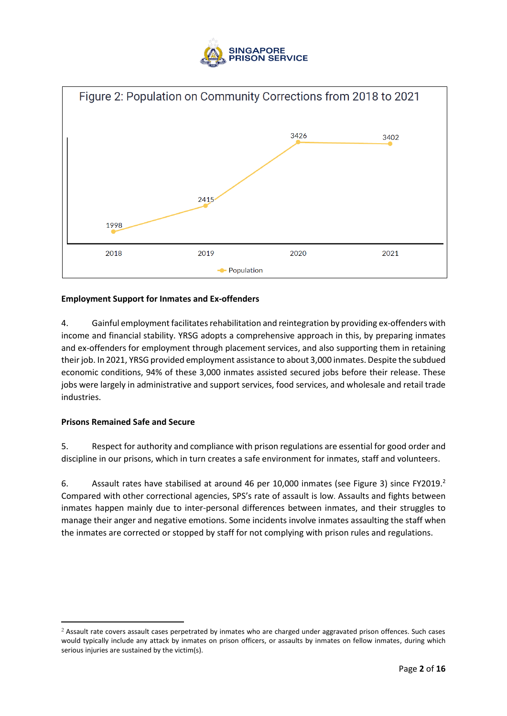



## **Employment Support for Inmates and Ex-offenders**

4. Gainful employment facilitates rehabilitation and reintegration by providing ex-offenders with income and financial stability. YRSG adopts a comprehensive approach in this, by preparing inmates and ex-offenders for employment through placement services, and also supporting them in retaining their job. In 2021, YRSG provided employment assistance to about 3,000 inmates. Despite the subdued economic conditions, 94% of these 3,000 inmates assisted secured jobs before their release. These jobs were largely in administrative and support services, food services, and wholesale and retail trade industries.

### **Prisons Remained Safe and Secure**

5. Respect for authority and compliance with prison regulations are essential for good order and discipline in our prisons, which in turn creates a safe environment for inmates, staff and volunteers.

6. Assault rates have stabilised at around 46 per 10,000 inmates (see Figure 3) since FY2019. Compared with other correctional agencies, SPS's rate of assault is low. Assaults and fights between inmates happen mainly due to inter-personal differences between inmates, and their struggles to manage their anger and negative emotions. Some incidents involve inmates assaulting the staff when the inmates are corrected or stopped by staff for not complying with prison rules and regulations.

<sup>&</sup>lt;sup>2</sup> Assault rate covers assault cases perpetrated by inmates who are charged under aggravated prison offences. Such cases would typically include any attack by inmates on prison officers, or assaults by inmates on fellow inmates, during which serious injuries are sustained by the victim(s).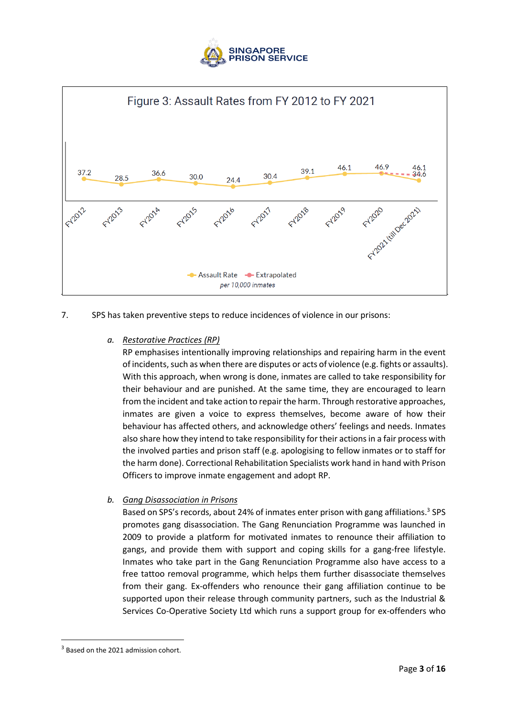



7. SPS has taken preventive steps to reduce incidences of violence in our prisons:

## *a. Restorative Practices (RP)*

RP emphasises intentionally improving relationships and repairing harm in the event of incidents, such as when there are disputes or acts of violence (e.g. fights or assaults). With this approach, when wrong is done, inmates are called to take responsibility for their behaviour and are punished. At the same time, they are encouraged to learn from the incident and take action to repair the harm. Through restorative approaches, inmates are given a voice to express themselves, become aware of how their behaviour has affected others, and acknowledge others' feelings and needs. Inmates also share how they intend to take responsibility for their actions in a fair process with the involved parties and prison staff (e.g. apologising to fellow inmates or to staff for the harm done). Correctional Rehabilitation Specialists work hand in hand with Prison Officers to improve inmate engagement and adopt RP.

*b. Gang Disassociation in Prisons*

Based on SPS's records, about 24% of inmates enter prison with gang affiliations.<sup>3</sup> SPS promotes gang disassociation. The Gang Renunciation Programme was launched in 2009 to provide a platform for motivated inmates to renounce their affiliation to gangs, and provide them with support and coping skills for a gang-free lifestyle. Inmates who take part in the Gang Renunciation Programme also have access to a free tattoo removal programme, which helps them further disassociate themselves from their gang. Ex-offenders who renounce their gang affiliation continue to be supported upon their release through community partners, such as the Industrial & Services Co-Operative Society Ltd which runs a support group for ex-offenders who

<sup>&</sup>lt;sup>3</sup> Based on the 2021 admission cohort.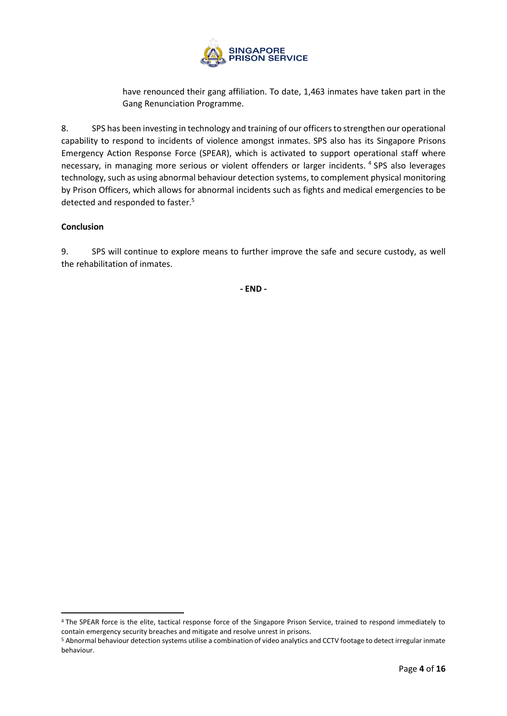

have renounced their gang affiliation. To date, 1,463 inmates have taken part in the Gang Renunciation Programme.

8. SPS has been investing in technology and training of our officers to strengthen our operational capability to respond to incidents of violence amongst inmates. SPS also has its Singapore Prisons Emergency Action Response Force (SPEAR), which is activated to support operational staff where necessary, in managing more serious or violent offenders or larger incidents. <sup>4</sup> SPS also leverages technology, such as using abnormal behaviour detection systems, to complement physical monitoring by Prison Officers, which allows for abnormal incidents such as fights and medical emergencies to be detected and responded to faster.<sup>5</sup>

## **Conclusion**

9. SPS will continue to explore means to further improve the safe and secure custody, as well the rehabilitation of inmates.

**- END -**

<sup>4</sup> The SPEAR force is the elite, tactical response force of the Singapore Prison Service, trained to respond immediately to contain emergency security breaches and mitigate and resolve unrest in prisons.

<sup>5</sup> Abnormal behaviour detection systems utilise a combination of video analytics and CCTV footage to detect irregular inmate behaviour.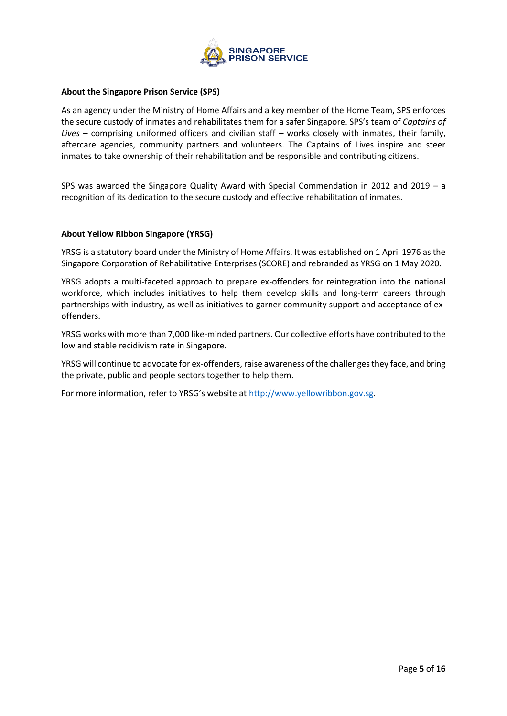

### **About the Singapore Prison Service (SPS)**

As an agency under the Ministry of Home Affairs and a key member of the Home Team, SPS enforces the secure custody of inmates and rehabilitates them for a safer Singapore. SPS's team of *Captains of Lives* – comprising uniformed officers and civilian staff – works closely with inmates, their family, aftercare agencies, community partners and volunteers. The Captains of Lives inspire and steer inmates to take ownership of their rehabilitation and be responsible and contributing citizens.

SPS was awarded the Singapore Quality Award with Special Commendation in 2012 and 2019 – a recognition of its dedication to the secure custody and effective rehabilitation of inmates.

### **About Yellow Ribbon Singapore (YRSG)**

YRSG is a statutory board under the Ministry of Home Affairs. It was established on 1 April 1976 as the Singapore Corporation of Rehabilitative Enterprises (SCORE) and rebranded as YRSG on 1 May 2020.

YRSG adopts a multi-faceted approach to prepare ex-offenders for reintegration into the national workforce, which includes initiatives to help them develop skills and long-term careers through partnerships with industry, as well as initiatives to garner community support and acceptance of exoffenders.

YRSG works with more than 7,000 like-minded partners. Our collective efforts have contributed to the low and stable recidivism rate in Singapore.

YRSG will continue to advocate for ex-offenders, raise awareness of the challenges they face, and bring the private, public and people sectors together to help them.

For more information, refer to YRSG's website at [http://www.yellowribbon.gov.sg.](http://www.yellowribbon.gov.sg/)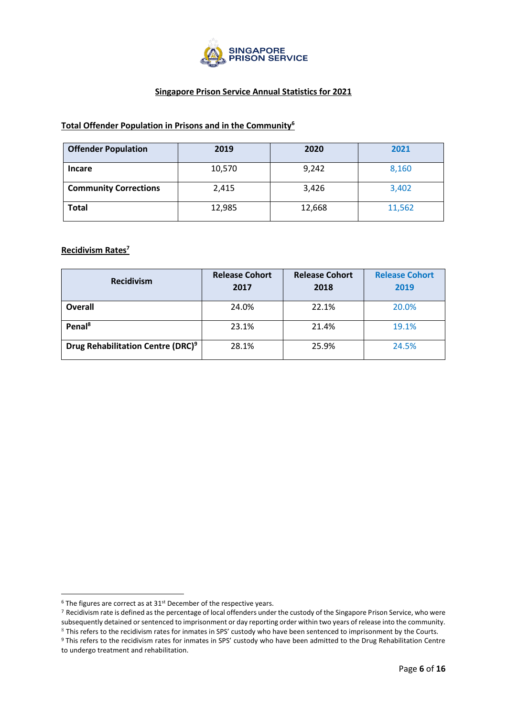

## **Singapore Prison Service Annual Statistics for 2021**

## **Total Offender Population in Prisons and in the Community<sup>6</sup>**

| <b>Offender Population</b>   | 2019   | 2020   | 2021   |
|------------------------------|--------|--------|--------|
| <b>Incare</b>                | 10,570 | 9,242  | 8,160  |
| <b>Community Corrections</b> | 2,415  | 3,426  | 3,402  |
| <b>Total</b>                 | 12,985 | 12,668 | 11,562 |

## **Recidivism Rates<sup>7</sup>**

| <b>Recidivism</b>                             | <b>Release Cohort</b><br>2017 | <b>Release Cohort</b><br>2018 | <b>Release Cohort</b><br>2019 |
|-----------------------------------------------|-------------------------------|-------------------------------|-------------------------------|
| Overall                                       | 24.0%                         | 22.1%                         | 20.0%                         |
| Penal <sup>8</sup>                            | 23.1%                         | 21.4%                         | 19.1%                         |
| Drug Rehabilitation Centre (DRC) <sup>9</sup> | 28.1%                         | 25.9%                         | 24.5%                         |

 $6$  The figures are correct as at 31st December of the respective years.

<sup>7</sup> Recidivism rate is defined as the percentage of local offenders under the custody of the Singapore Prison Service, who were subsequently detained or sentenced to imprisonment or day reporting order within two years of release into the community.

<sup>8</sup> This refers to the recidivism rates for inmates in SPS' custody who have been sentenced to imprisonment by the Courts.

<sup>&</sup>lt;sup>9</sup> This refers to the recidivism rates for inmates in SPS' custody who have been admitted to the Drug Rehabilitation Centre to undergo treatment and rehabilitation.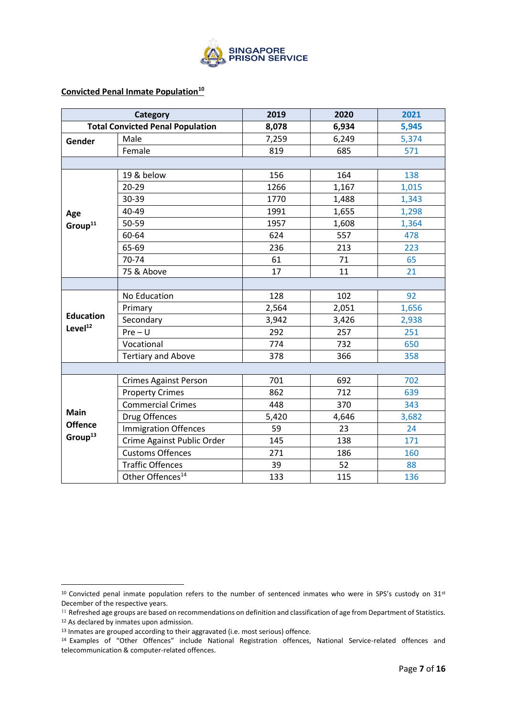

### **Convicted Penal Inmate Population<sup>10</sup>**

|                     | <b>Category</b>                         | 2019  | 2020  | 2021  |
|---------------------|-----------------------------------------|-------|-------|-------|
|                     | <b>Total Convicted Penal Population</b> | 8,078 | 6,934 | 5,945 |
| Gender              | Male                                    | 7,259 | 6,249 | 5,374 |
|                     | Female                                  | 819   | 685   | 571   |
|                     |                                         |       |       |       |
|                     | 19 & below                              | 156   | 164   | 138   |
|                     | $20 - 29$                               | 1266  | 1,167 | 1,015 |
|                     | 30-39                                   | 1770  | 1,488 | 1,343 |
| Age                 | 40-49                                   | 1991  | 1,655 | 1,298 |
| Group <sup>11</sup> | 50-59                                   | 1957  | 1,608 | 1,364 |
|                     | 60-64                                   | 624   | 557   | 478   |
|                     | 65-69                                   | 236   | 213   | 223   |
|                     | 70-74                                   | 61    | 71    | 65    |
|                     | 75 & Above                              | 17    | 11    | 21    |
|                     |                                         |       |       |       |
|                     | No Education                            | 128   | 102   | 92    |
|                     | Primary                                 | 2,564 | 2,051 | 1,656 |
| <b>Education</b>    | Secondary                               | 3,942 | 3,426 | 2,938 |
| Level <sup>12</sup> | $Pre-U$                                 | 292   | 257   | 251   |
|                     | Vocational                              | 774   | 732   | 650   |
|                     | <b>Tertiary and Above</b>               | 378   | 366   | 358   |
|                     |                                         |       |       |       |
|                     | <b>Crimes Against Person</b>            | 701   | 692   | 702   |
|                     | <b>Property Crimes</b>                  | 862   | 712   | 639   |
|                     | <b>Commercial Crimes</b>                | 448   | 370   | 343   |
| <b>Main</b>         | Drug Offences                           | 5,420 | 4,646 | 3,682 |
| <b>Offence</b>      | <b>Immigration Offences</b>             | 59    | 23    | 24    |
| Group <sup>13</sup> | Crime Against Public Order              | 145   | 138   | 171   |
|                     | <b>Customs Offences</b>                 | 271   | 186   | 160   |
|                     | <b>Traffic Offences</b>                 | 39    | 52    | 88    |
|                     | Other Offences <sup>14</sup>            | 133   | 115   | 136   |

12 As declared by inmates upon admission.

 $10$  Convicted penal inmate population refers to the number of sentenced inmates who were in SPS's custody on 31st December of the respective years.

 $11$  Refreshed age groups are based on recommendations on definition and classification of age from Department of Statistics.

<sup>&</sup>lt;sup>13</sup> Inmates are grouped according to their aggravated (i.e. most serious) offence.

<sup>14</sup> Examples of "Other Offences" include National Registration offences, National Service-related offences and telecommunication & computer-related offences.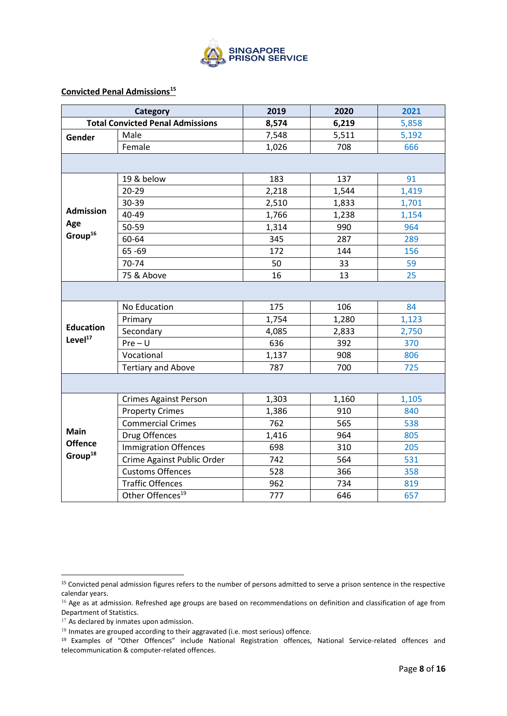

## **Convicted Penal Admissions<sup>15</sup>**

|                     | Category                                | 2019  | 2020  | 2021  |
|---------------------|-----------------------------------------|-------|-------|-------|
|                     | <b>Total Convicted Penal Admissions</b> | 8,574 | 6,219 | 5,858 |
| Gender              | Male                                    | 7,548 | 5,511 | 5,192 |
|                     | Female                                  | 1,026 | 708   | 666   |
|                     |                                         |       |       |       |
|                     | 19 & below                              | 183   | 137   | 91    |
|                     | 20-29                                   | 2,218 | 1,544 | 1,419 |
|                     | 30-39                                   | 2,510 | 1,833 | 1,701 |
| <b>Admission</b>    | 40-49                                   | 1,766 | 1,238 | 1,154 |
| Age                 | 50-59                                   | 1,314 | 990   | 964   |
| Group <sup>16</sup> | 60-64                                   | 345   | 287   | 289   |
|                     | 65-69                                   | 172   | 144   | 156   |
|                     | 70-74                                   | 50    | 33    | 59    |
|                     | 75 & Above                              | 16    | 13    | 25    |
|                     |                                         |       |       |       |
|                     | No Education                            | 175   | 106   | 84    |
|                     | Primary                                 | 1,754 | 1,280 | 1,123 |
| <b>Education</b>    | Secondary                               | 4,085 | 2,833 | 2,750 |
| Level <sup>17</sup> | $Pre-U$                                 | 636   | 392   | 370   |
|                     | Vocational                              | 1,137 | 908   | 806   |
|                     | <b>Tertiary and Above</b>               | 787   | 700   | 725   |
|                     |                                         |       |       |       |
|                     | <b>Crimes Against Person</b>            | 1,303 | 1,160 | 1,105 |
|                     | <b>Property Crimes</b>                  | 1,386 | 910   | 840   |
|                     | <b>Commercial Crimes</b>                | 762   | 565   | 538   |
| <b>Main</b>         | Drug Offences                           | 1,416 | 964   | 805   |
| <b>Offence</b>      | Immigration Offences                    | 698   | 310   | 205   |
| Group <sup>18</sup> | Crime Against Public Order              | 742   | 564   | 531   |
|                     | <b>Customs Offences</b>                 | 528   | 366   | 358   |
|                     | <b>Traffic Offences</b>                 | 962   | 734   | 819   |
|                     | Other Offences <sup>19</sup>            | 777   | 646   | 657   |

<sup>&</sup>lt;sup>15</sup> Convicted penal admission figures refers to the number of persons admitted to serve a prison sentence in the respective calendar years.

 $16$  Age as at admission. Refreshed age groups are based on recommendations on definition and classification of age from Department of Statistics.

<sup>&</sup>lt;sup>17</sup> As declared by inmates upon admission.

<sup>18</sup> Inmates are grouped according to their aggravated (i.e. most serious) offence.

<sup>19</sup> Examples of "Other Offences" include National Registration offences, National Service-related offences and telecommunication & computer-related offences.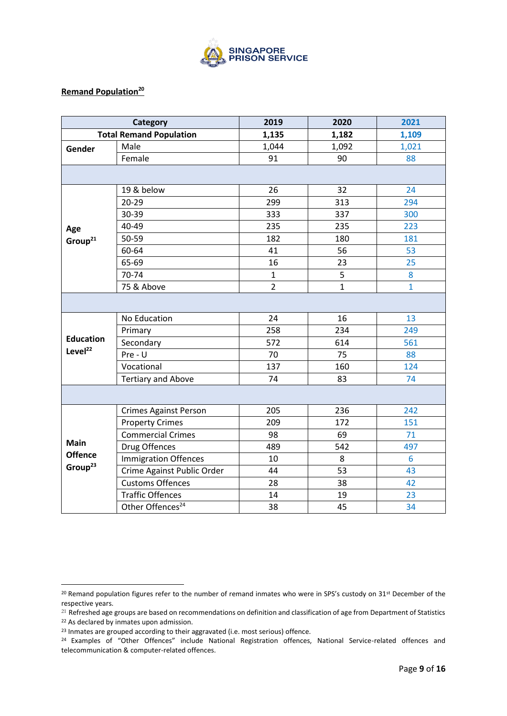

### **Remand Population<sup>20</sup>**

|                     | Category                       | 2019           | 2020         | 2021         |  |  |
|---------------------|--------------------------------|----------------|--------------|--------------|--|--|
|                     | <b>Total Remand Population</b> | 1,135          | 1,182        | 1,109        |  |  |
| Gender              | Male                           | 1,044          | 1,092        | 1,021        |  |  |
|                     | Female                         | 91             | 90           | 88           |  |  |
|                     |                                |                |              |              |  |  |
|                     | 19 & below                     | 26             | 32           | 24           |  |  |
|                     | $20 - 29$                      | 299            | 313          | 294          |  |  |
|                     | 30-39                          | 333            | 337          | 300          |  |  |
| Age                 | 40-49                          | 235            | 235          | 223          |  |  |
| Group <sup>21</sup> | 50-59                          | 182            | 180          | 181          |  |  |
|                     | 60-64                          | 41             | 56           | 53           |  |  |
|                     | 65-69                          | 16             | 23           | 25           |  |  |
|                     | 70-74                          | $\mathbf{1}$   | 5            | 8            |  |  |
|                     | 75 & Above                     | $\overline{2}$ | $\mathbf{1}$ | $\mathbf{1}$ |  |  |
|                     |                                |                |              |              |  |  |
|                     | No Education                   | 24             | 16           | 13           |  |  |
|                     | Primary                        | 258            | 234          | 249          |  |  |
| <b>Education</b>    | Secondary                      | 572            | 614          | 561          |  |  |
| Level <sup>22</sup> | Pre - U                        | 70             | 75           | 88           |  |  |
|                     | Vocational                     | 137            | 160          | 124          |  |  |
|                     | <b>Tertiary and Above</b>      | 74             | 83           | 74           |  |  |
|                     |                                |                |              |              |  |  |
|                     | <b>Crimes Against Person</b>   | 205            | 236          | 242          |  |  |
|                     | <b>Property Crimes</b>         | 209            | 172          | 151          |  |  |
|                     | <b>Commercial Crimes</b>       | 98             | 69           | 71           |  |  |
| Main                | Drug Offences                  | 489            | 542          | 497          |  |  |
| <b>Offence</b>      | <b>Immigration Offences</b>    | 10             | 8            | 6            |  |  |
| Group <sup>23</sup> | Crime Against Public Order     | 44             | 53           | 43           |  |  |
|                     | <b>Customs Offences</b>        | 28             | 38           | 42           |  |  |
|                     | <b>Traffic Offences</b>        | 14             | 19           | 23           |  |  |
|                     | Other Offences <sup>24</sup>   | 38             | 45           | 34           |  |  |

<sup>&</sup>lt;sup>20</sup> Remand population figures refer to the number of remand inmates who were in SPS's custody on 31<sup>st</sup> December of the respective years.

<sup>&</sup>lt;sup>21</sup> Refreshed age groups are based on recommendations on definition and classification of age from Department of Statistics

<sup>22</sup> As declared by inmates upon admission.

<sup>&</sup>lt;sup>23</sup> Inmates are grouped according to their aggravated (i.e. most serious) offence.

<sup>24</sup> Examples of "Other Offences" include National Registration offences, National Service-related offences and telecommunication & computer-related offences.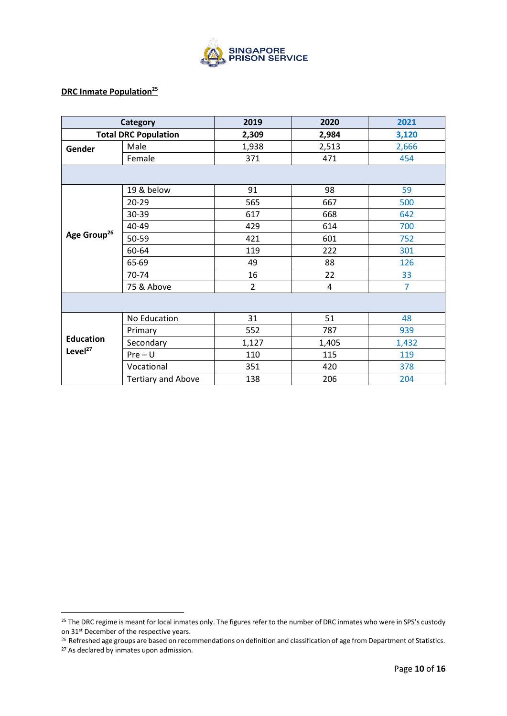

# **DRC Inmate Population<sup>25</sup>**

|                                         | Category                    | 2019           | 2020  | 2021           |  |
|-----------------------------------------|-----------------------------|----------------|-------|----------------|--|
|                                         | <b>Total DRC Population</b> | 2,309          | 2,984 | 3,120          |  |
| Gender                                  | Male                        | 1,938          | 2,513 | 2,666          |  |
|                                         | Female                      | 371            | 471   | 454            |  |
|                                         |                             |                |       |                |  |
|                                         | 19 & below                  | 91             | 98    | 59             |  |
|                                         | 20-29                       | 565            | 667   | 500            |  |
|                                         | 30-39                       | 617            | 668   | 642            |  |
|                                         | 40-49                       | 429            | 614   | 700            |  |
| Age Group <sup>26</sup>                 | 50-59                       | 421            | 601   | 752            |  |
|                                         | 60-64                       | 119            | 222   | 301            |  |
|                                         | 65-69                       | 49             | 88    | 126            |  |
|                                         | 70-74                       | 16             | 22    | 33             |  |
|                                         | 75 & Above                  | $\overline{2}$ | 4     | $\overline{7}$ |  |
|                                         |                             |                |       |                |  |
|                                         | No Education                | 31             | 51    | 48             |  |
|                                         | Primary                     | 552            | 787   | 939            |  |
| <b>Education</b><br>Level <sup>27</sup> | Secondary                   | 1,127          | 1,405 | 1,432          |  |
|                                         | $Pre-U$                     | 110            | 115   | 119            |  |
|                                         | Vocational                  | 351            | 420   | 378            |  |
|                                         | <b>Tertiary and Above</b>   | 138            | 206   | 204            |  |

<sup>&</sup>lt;sup>25</sup> The DRC regime is meant for local inmates only. The figures refer to the number of DRC inmates who were in SPS's custody on 31st December of the respective years.

<sup>&</sup>lt;sup>26</sup> Refreshed age groups are based on recommendations on definition and classification of age from Department of Statistics.

<sup>&</sup>lt;sup>27</sup> As declared by inmates upon admission.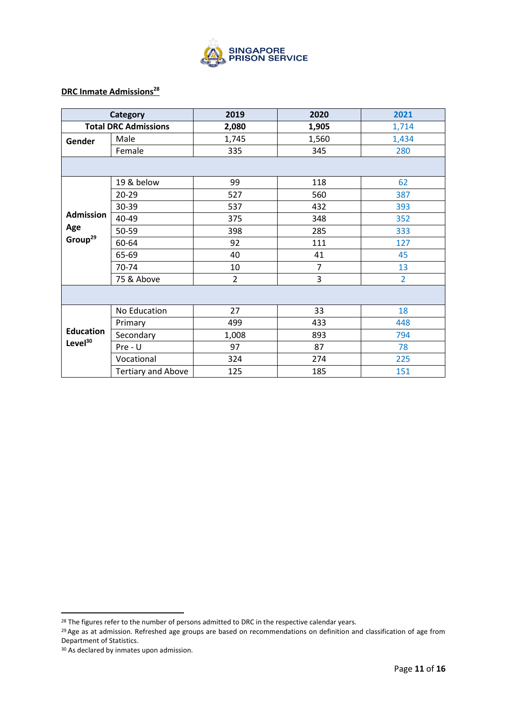

# **DRC Inmate Admissions<sup>28</sup>**

|                     | <b>Category</b>             | 2019           | 2020           | 2021           |  |
|---------------------|-----------------------------|----------------|----------------|----------------|--|
|                     | <b>Total DRC Admissions</b> | 2,080          | 1,905          | 1,714          |  |
| Gender              | Male                        | 1,745          | 1,560          | 1,434          |  |
|                     | Female                      | 335            | 345            | 280            |  |
|                     |                             |                |                |                |  |
|                     | 19 & below                  | 99             | 118            | 62             |  |
|                     | 20-29                       | 527            | 560            | 387            |  |
|                     | 30-39                       | 537            | 432            | 393            |  |
| <b>Admission</b>    | 40-49                       | 375            | 348            | 352            |  |
| Age                 | 50-59                       | 398            | 285            | 333            |  |
| Group <sup>29</sup> | 60-64                       | 92             | 111            | 127            |  |
|                     | 65-69                       | 40             | 41             | 45             |  |
|                     | 70-74                       | 10             | $\overline{7}$ | 13             |  |
|                     | 75 & Above                  | $\overline{2}$ | 3              | $\overline{2}$ |  |
|                     |                             |                |                |                |  |
|                     | No Education                | 27             | 33             | 18             |  |
| <b>Education</b>    | Primary                     | 499            | 433            | 448            |  |
|                     | Secondary                   | 1,008          | 893            | 794            |  |
| Level <sup>30</sup> | $Pre - U$                   | 97             | 87             | 78             |  |
|                     | Vocational                  | 324            | 274            | 225            |  |
|                     | <b>Tertiary and Above</b>   | 125            | 185            | 151            |  |

<sup>&</sup>lt;sup>28</sup> The figures refer to the number of persons admitted to DRC in the respective calendar years.

<sup>&</sup>lt;sup>29</sup> Age as at admission. Refreshed age groups are based on recommendations on definition and classification of age from Department of Statistics.

<sup>&</sup>lt;sup>30</sup> As declared by inmates upon admission.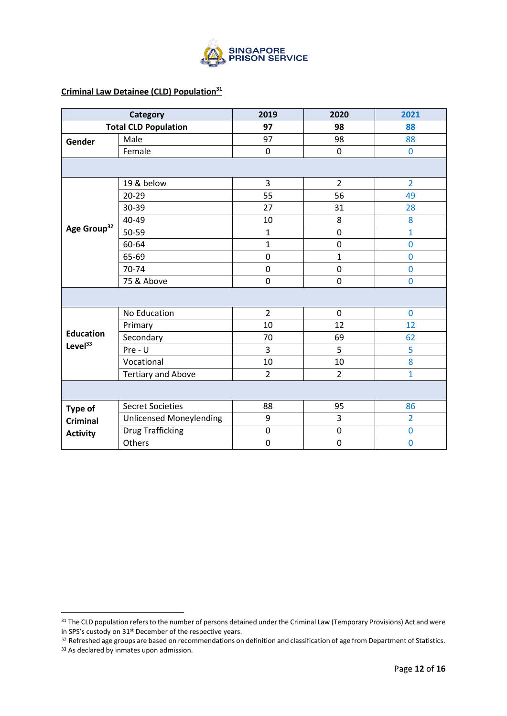

## **Criminal Law Detainee (CLD) Population<sup>31</sup>**

|                         | <b>Category</b>                | 2019           | 2020           | 2021           |  |
|-------------------------|--------------------------------|----------------|----------------|----------------|--|
|                         | <b>Total CLD Population</b>    | 97             | 98             | 88             |  |
| Gender                  | Male                           | 97             | 98             | 88             |  |
|                         | Female                         | 0              | $\mathbf 0$    | $\bf{0}$       |  |
|                         |                                |                |                |                |  |
|                         | 19 & below                     | 3              | $\overline{2}$ | $\overline{2}$ |  |
|                         | $20 - 29$                      | 55             | 56             | 49             |  |
|                         | 30-39                          | 27             | 31             | 28             |  |
|                         | 40-49                          | 10             | 8              | 8              |  |
| Age Group <sup>32</sup> | 50-59                          | 1              | $\mathbf 0$    | $\mathbf{1}$   |  |
|                         | 60-64                          | $\mathbf{1}$   | $\pmb{0}$      | $\overline{0}$ |  |
|                         | 65-69                          | 0              | $\mathbf{1}$   | $\mathbf 0$    |  |
|                         | 70-74                          | $\pmb{0}$      | $\mathbf 0$    | $\overline{0}$ |  |
|                         | 75 & Above                     | $\pmb{0}$      | $\mathbf 0$    | $\mathbf 0$    |  |
|                         |                                |                |                |                |  |
|                         | No Education                   | $\overline{2}$ | $\mathbf 0$    | $\mathbf 0$    |  |
|                         | Primary                        | 10             | 12             | 12             |  |
| <b>Education</b>        | Secondary                      | 70             | 69             | 62             |  |
| Level $33$              | Pre - U                        | 3              | 5              | 5              |  |
|                         | Vocational                     | 10             | 10             | 8              |  |
|                         | <b>Tertiary and Above</b>      | $\overline{2}$ | $\overline{2}$ | $\mathbf{1}$   |  |
|                         |                                |                |                |                |  |
| Type of                 | <b>Secret Societies</b>        | 88             | 95             | 86             |  |
| <b>Criminal</b>         | <b>Unlicensed Moneylending</b> | 9              | 3              | $\overline{2}$ |  |
| <b>Activity</b>         | <b>Drug Trafficking</b>        | 0              | $\mathbf 0$    | $\overline{0}$ |  |
|                         | Others                         | $\pmb{0}$      | $\pmb{0}$      | $\mathbf 0$    |  |

<sup>&</sup>lt;sup>31</sup> The CLD population refers to the number of persons detained under the Criminal Law (Temporary Provisions) Act and were in SPS's custody on 31st December of the respective years.

<sup>&</sup>lt;sup>32</sup> Refreshed age groups are based on recommendations on definition and classification of age from Department of Statistics.

<sup>&</sup>lt;sup>33</sup> As declared by inmates upon admission.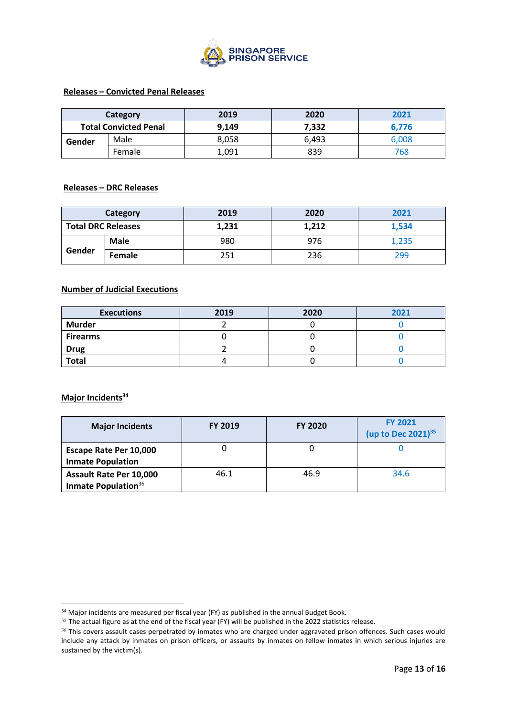

### **Releases – Convicted Penal Releases**

|        | Category                     | 2019  | 2020  | 2021  |
|--------|------------------------------|-------|-------|-------|
|        | <b>Total Convicted Penal</b> | 9,149 | 7,332 | 6.776 |
| Gender | Male                         | 8,058 | 6.493 | 6,008 |
|        | Female                       | 1,091 | 839   | 768   |

### **Releases – DRC Releases**

| Category                  |               | 2019  | 2020  | 2021  |
|---------------------------|---------------|-------|-------|-------|
| <b>Total DRC Releases</b> |               | 1,231 | 1,212 | 1,534 |
|                           | <b>Male</b>   | 980   | 976   | 1,235 |
| Gender                    | <b>Female</b> | 251   | 236   | 299   |

### **Number of Judicial Executions**

| <b>Executions</b> | 2019 | 2020 | 2021 |
|-------------------|------|------|------|
| <b>Murder</b>     |      |      |      |
| <b>Firearms</b>   |      |      |      |
| <b>Drug</b>       |      |      |      |
| <b>Total</b>      |      |      |      |

## **Major Incidents<sup>34</sup>**

| <b>Major Incidents</b>                                            | <b>FY 2019</b> | <b>FY 2020</b> | <b>FY 2021</b><br>(up to Dec 2021) <sup>35</sup> |
|-------------------------------------------------------------------|----------------|----------------|--------------------------------------------------|
| Escape Rate Per 10,000<br><b>Inmate Population</b>                |                |                |                                                  |
| <b>Assault Rate Per 10,000</b><br>Inmate Population <sup>36</sup> | 46.1           | 46.9           | 34.6                                             |

<sup>&</sup>lt;sup>34</sup> Major incidents are measured per fiscal year (FY) as published in the annual Budget Book.

<sup>&</sup>lt;sup>35</sup> The actual figure as at the end of the fiscal year (FY) will be published in the 2022 statistics release.

<sup>&</sup>lt;sup>36</sup> This covers assault cases perpetrated by inmates who are charged under aggravated prison offences. Such cases would include any attack by inmates on prison officers, or assaults by inmates on fellow inmates in which serious injuries are sustained by the victim(s).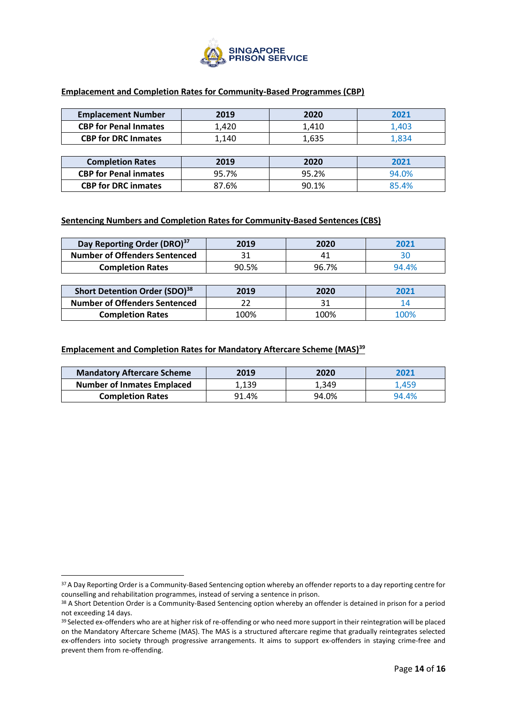

### **Emplacement and Completion Rates for Community-Based Programmes (CBP)**

| <b>Emplacement Number</b>    | 2019  | 2020  | 2021  |
|------------------------------|-------|-------|-------|
| <b>CBP for Penal Inmates</b> | 1,420 | 1,410 | 1,403 |
| <b>CBP for DRC Inmates</b>   | 1,140 | 1,635 | 1,834 |
|                              |       |       |       |
| <b>Completion Rates</b>      | 2019  | 2020  | 2021  |
| <b>CBP for Penal inmates</b> | 95.7% | 95.2% | 94.0% |
| <b>CBP for DRC inmates</b>   | 87.6% | 90.1% | 85.4% |

### **Sentencing Numbers and Completion Rates for Community-Based Sentences (CBS)**

| Day Reporting Order (DRO) <sup>37</sup> | 2019  | 2020  | 2021  |
|-----------------------------------------|-------|-------|-------|
| <b>Number of Offenders Sentenced</b>    |       | 41    |       |
| <b>Completion Rates</b>                 | 90.5% | 96.7% | 94.4% |

| Short Detention Order (SDO) <sup>38</sup> | 2019 | 2020 | 2021 |
|-------------------------------------------|------|------|------|
| <b>Number of Offenders Sentenced</b>      |      |      |      |
| <b>Completion Rates</b>                   | 100% | 100% | 100% |

### **Emplacement and Completion Rates for Mandatory Aftercare Scheme (MAS)<sup>39</sup>**

| <b>Mandatory Aftercare Scheme</b> | 2019  | 2020  | 2021  |
|-----------------------------------|-------|-------|-------|
| <b>Number of Inmates Emplaced</b> | 1.139 | 1,349 | 1.459 |
| <b>Completion Rates</b>           | 91.4% | 94.0% | 94.4% |

<sup>&</sup>lt;sup>37</sup> A Day Reporting Order is a Community-Based Sentencing option whereby an offender reports to a day reporting centre for counselling and rehabilitation programmes, instead of serving a sentence in prison.

<sup>38</sup> A Short Detention Order is a Community-Based Sentencing option whereby an offender is detained in prison for a period not exceeding 14 days.

<sup>&</sup>lt;sup>39</sup> Selected ex-offenders who are at higher risk of re-offending or who need more support in their reintegration will be placed on the Mandatory Aftercare Scheme (MAS). The MAS is a structured aftercare regime that gradually reintegrates selected ex-offenders into society through progressive arrangements. It aims to support ex-offenders in staying crime-free and prevent them from re-offending.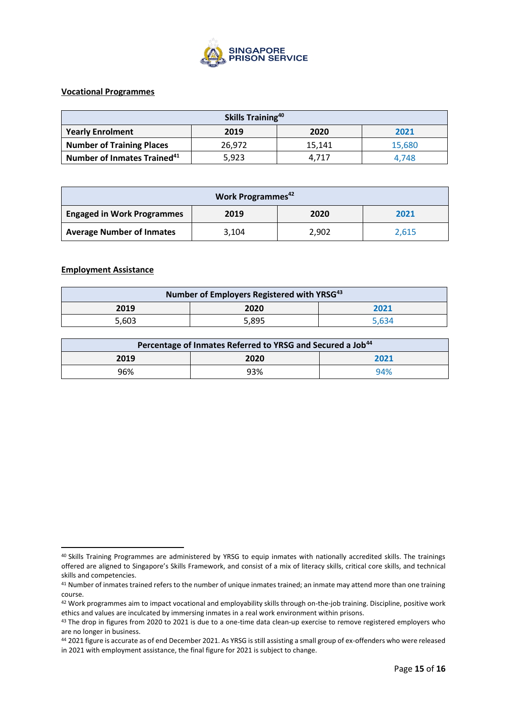

### **Vocational Programmes**

| Skills Training <sup>40</sup>                   |        |        |        |  |
|-------------------------------------------------|--------|--------|--------|--|
| <b>Yearly Enrolment</b><br>2021<br>2019<br>2020 |        |        |        |  |
| <b>Number of Training Places</b>                | 26,972 | 15.141 | 15,680 |  |
| Number of Inmates Trained <sup>41</sup>         | 5,923  | 4.717  | 4.748  |  |

| Work Programmes <sup>42</sup>     |       |       |       |
|-----------------------------------|-------|-------|-------|
| <b>Engaged in Work Programmes</b> | 2019  | 2020  | 2021  |
| <b>Average Number of Inmates</b>  | 3,104 | 2,902 | 2,615 |

#### **Employment Assistance**

| Number of Employers Registered with YRSG <sup>43</sup> |       |       |  |
|--------------------------------------------------------|-------|-------|--|
| 2019                                                   | 2020  | 2021  |  |
| 5.603                                                  | 5,895 | 5.634 |  |

| Percentage of Inmates Referred to YRSG and Secured a Job <sup>44</sup> |      |      |  |
|------------------------------------------------------------------------|------|------|--|
| 2019                                                                   | 2020 | 2021 |  |
| 96%                                                                    | 93%  | 94%  |  |

<sup>&</sup>lt;sup>40</sup> Skills Training Programmes are administered by YRSG to equip inmates with nationally accredited skills. The trainings offered are aligned to Singapore's Skills Framework, and consist of a mix of literacy skills, critical core skills, and technical skills and competencies.

<sup>&</sup>lt;sup>41</sup> Number of inmates trained refers to the number of unique inmates trained; an inmate may attend more than one training course.

<sup>42</sup> Work programmes aim to impact vocational and employability skills through on-the-job training. Discipline, positive work ethics and values are inculcated by immersing inmates in a real work environment within prisons.

<sup>43</sup> The drop in figures from 2020 to 2021 is due to a one-time data clean-up exercise to remove registered employers who are no longer in business.

<sup>44</sup> 2021 figure is accurate as of end December 2021. As YRSG is still assisting a small group of ex-offenders who were released in 2021 with employment assistance, the final figure for 2021 is subject to change.